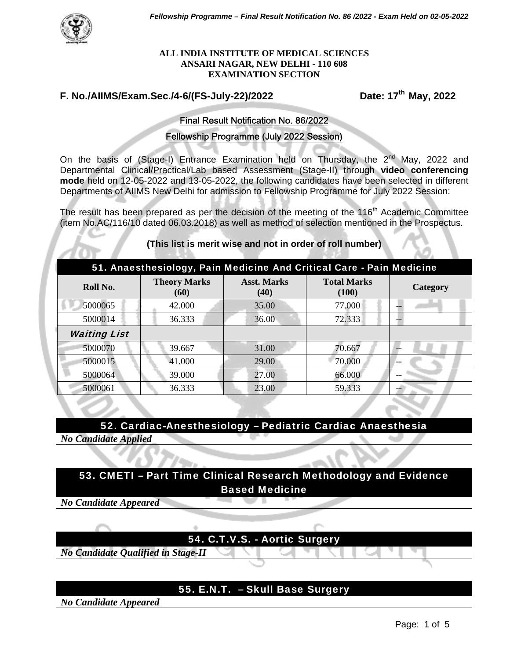

#### **ALL INDIA INSTITUTE OF MEDICAL SCIENCES ANSARI NAGAR, NEW DELHI - 110 608 EXAMINATION SECTION**

# **F. No./AIIMS/Exam.Sec./4-6/(FS-July-22)/2022 Date: 17th May, 2022**

#### Final Result Notification No. 86/2022

#### Fellowship Programme (July 2022 Session)

On the basis of (Stage-I) Entrance Examination held on Thursday, the 2<sup>nd</sup> May, 2022 and Departmental Clinical/Practical/Lab based Assessment (Stage-II) through **video conferencing mode** held on 12-05-2022 and 13-05-2022, the following candidates have been selected in different Departments of AIIMS New Delhi for admission to Fellowship Programme for July 2022 Session:

The result has been prepared as per the decision of the meeting of the 116<sup>th</sup> Academic Committee (item No.AC/116/10 dated 06.03.2018) as well as method of selection mentioned in the Prospectus.

#### **(This list is merit wise and not in order of roll number)**

| 51. Anaesthesiology, Pain Medicine And Critical Care - Pain Medicine |                             |                            |                             |                 |  |
|----------------------------------------------------------------------|-----------------------------|----------------------------|-----------------------------|-----------------|--|
| Roll No.                                                             | <b>Theory Marks</b><br>(60) | <b>Asst. Marks</b><br>(40) | <b>Total Marks</b><br>(100) | <b>Category</b> |  |
| 5000065                                                              | 42.000                      | 35.00                      | 77.000                      |                 |  |
| 5000014                                                              | 36.333                      | 36.00                      | 72.333                      |                 |  |
| <b>Waiting List</b>                                                  |                             |                            |                             |                 |  |
| 5000070                                                              | 39.667                      | 31.00                      | 70.667                      |                 |  |
| 5000015                                                              | 41.000                      | 29.00                      | 70.000                      |                 |  |
| 5000064                                                              | 39.000                      | 27.00                      | 66.000                      |                 |  |
| 5000061                                                              | 36.333                      | 23.00                      | 59.333                      |                 |  |

52. Cardiac-Anesthesiology – Pediatric Cardiac Anaesthesia *No Candidate Applied* 



*No Candidate Appeared* 



*No Candidate Qualified in Stage-II*

## 55. E.N.T. – Skull Base Surgery

*No Candidate Appeared*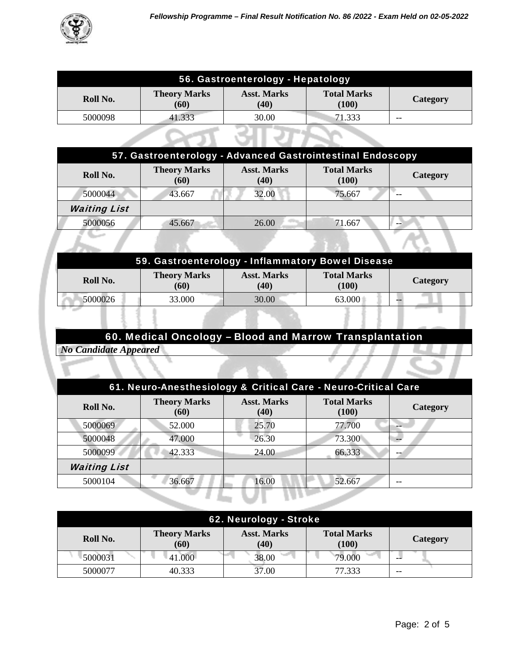

| 56. Gastroenterology - Hepatology |                             |                            |                             |          |
|-----------------------------------|-----------------------------|----------------------------|-----------------------------|----------|
| Roll No.                          | <b>Theory Marks</b><br>(60) | <b>Asst. Marks</b><br>(40) | <b>Total Marks</b><br>(100) | Category |
| 5000098                           | 41.333                      | 30.00                      | 71.333                      | --       |
|                                   |                             |                            |                             |          |

| 57. Gastroenterology - Advanced Gastrointestinal Endoscopy |                             |                            |                             |          |  |
|------------------------------------------------------------|-----------------------------|----------------------------|-----------------------------|----------|--|
| Roll No.                                                   | <b>Theory Marks</b><br>(60) | <b>Asst. Marks</b><br>(40) | <b>Total Marks</b><br>(100) | Category |  |
| 5000044                                                    | 43.667                      | 32.00                      | 75.667                      |          |  |
| <b>Waiting List</b>                                        |                             |                            |                             |          |  |
| 5000056                                                    | 45.667                      | <b>COLL</b><br>26.00       | 71.667                      |          |  |

| 59. Gastroenterology - Inflammatory Bowel Disease |                             |                            |                             |                 |  |  |
|---------------------------------------------------|-----------------------------|----------------------------|-----------------------------|-----------------|--|--|
| Roll No.                                          | <b>Theory Marks</b><br>(60) | <b>Asst. Marks</b><br>(40) | <b>Total Marks</b><br>(100) | <b>Category</b> |  |  |
| 5000026                                           | 33.000                      | 30.00                      | 63.000                      |                 |  |  |
|                                                   |                             |                            |                             |                 |  |  |

# 60. Medical Oncology – Blood and Marrow Transplantation

*No Candidate Appeared* 

| 61. Neuro-Anesthesiology & Critical Care - Neuro-Critical Care |                             |                            |                             |          |
|----------------------------------------------------------------|-----------------------------|----------------------------|-----------------------------|----------|
| Roll No.                                                       | <b>Theory Marks</b><br>(60) | <b>Asst. Marks</b><br>(40) | <b>Total Marks</b><br>(100) | Category |
| 5000069                                                        | 52.000                      | 25.70                      | 77.700                      |          |
| 5000048                                                        | 47.000                      | 26.30                      | 73.300                      |          |
| 5000099                                                        | 42.333                      | 24.00                      | 66.333                      |          |
| <b>Waiting List</b>                                            |                             |                            |                             |          |
| 5000104                                                        | 36.667                      | 16.00                      | 52.667                      |          |
|                                                                |                             |                            |                             |          |

| 62. Neurology - Stroke                                                                                           |         |       |        |    |  |
|------------------------------------------------------------------------------------------------------------------|---------|-------|--------|----|--|
| <b>Theory Marks</b><br><b>Asst. Marks</b><br><b>Total Marks</b><br>Roll No.<br>Category<br>(60)<br>(40)<br>(100) |         |       |        |    |  |
| 5000031                                                                                                          | 41.000- | 38.00 | 79.000 | -- |  |
| 5000077                                                                                                          | 40.333  | 37.00 | 77.333 | -- |  |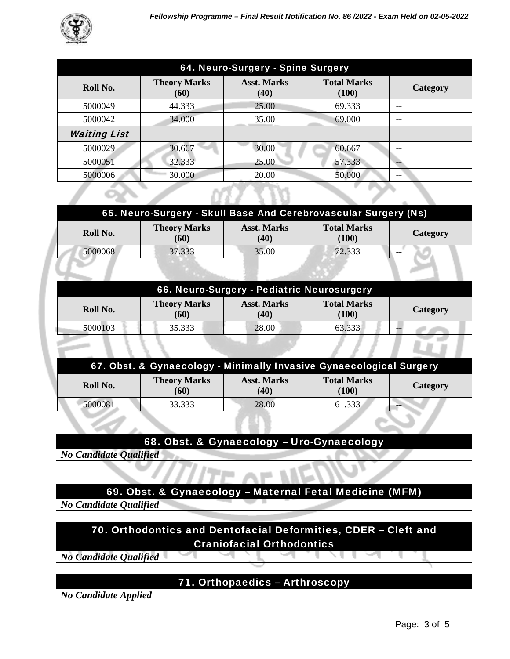

| 64. Neuro-Surgery - Spine Surgery |                             |                            |                             |          |  |
|-----------------------------------|-----------------------------|----------------------------|-----------------------------|----------|--|
| Roll No.                          | <b>Theory Marks</b><br>(60) | <b>Asst. Marks</b><br>(40) | <b>Total Marks</b><br>(100) | Category |  |
| 5000049                           | 44.333                      | 25.00                      | 69.333                      | --       |  |
| 5000042                           | 34.000                      | 35.00                      | 69.000                      | --       |  |
| <b>Waiting List</b>               |                             |                            |                             |          |  |
| 5000029                           | 30.667                      | 30.00                      | 60.667                      |          |  |
| 5000051                           | 32.333                      | 25.00                      | 57.333                      |          |  |
| 5000006                           | 30.000                      | 20.00                      | 50.000                      | --       |  |

| 65. Neuro-Surgery - Skull Base And Cerebrovascular Surgery (Ns) |                             |                            |                             |          |
|-----------------------------------------------------------------|-----------------------------|----------------------------|-----------------------------|----------|
| Roll No.                                                        | <b>Theory Marks</b><br>(60) | <b>Asst. Marks</b><br>(40) | <b>Total Marks</b><br>(100) | Category |
| 5000068                                                         | 37.333                      | 35.00                      | 72.333                      | $- -$    |

| 66. Neuro-Surgery - Pediatric Neurosurgery |                             |                            |                             |          |  |  |  |
|--------------------------------------------|-----------------------------|----------------------------|-----------------------------|----------|--|--|--|
| Roll No.                                   | <b>Theory Marks</b><br>(60) | <b>Asst. Marks</b><br>(40) | <b>Total Marks</b><br>(100) | Category |  |  |  |
| 5000103                                    | 35.333                      | 28.00                      | 63.333                      |          |  |  |  |
|                                            |                             |                            |                             |          |  |  |  |

| 67. Obst. & Gynaecology - Minimally Invasive Gynaecological Surgery |                             |                            |                             |          |  |
|---------------------------------------------------------------------|-----------------------------|----------------------------|-----------------------------|----------|--|
| Roll No.                                                            | <b>Theory Marks</b><br>(60) | <b>Asst. Marks</b><br>(40) | <b>Total Marks</b><br>(100) | Category |  |
| 5000081                                                             | 33.333                      | 28.00                      | 61.333                      | --       |  |

## 68. Obst. & Gynaecology – Uro-Gynaecology

*No Candidate Qualified* 

## 69. Obst. & Gynaecology – Maternal Fetal Medicine (MFM)

*No Candidate Qualified* 

70. Orthodontics and Dentofacial Deformities, CDER – Cleft and Craniofacial Orthodontics

*No Candidate Qualified* 

# 71. Orthopaedics – Arthroscopy

*No Candidate Applied* 

77 J Li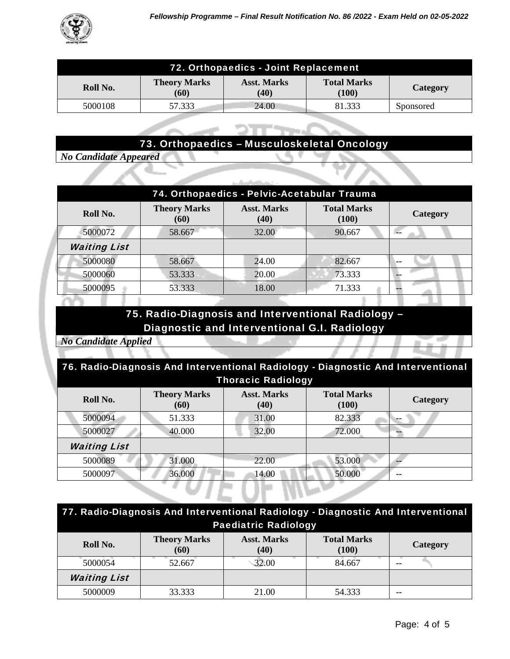

| 72. Orthopaedics - Joint Replacement |                             |                            |                             |           |
|--------------------------------------|-----------------------------|----------------------------|-----------------------------|-----------|
| Roll No.                             | <b>Theory Marks</b><br>(60) | <b>Asst. Marks</b><br>(40) | <b>Total Marks</b><br>(100) | Category  |
| 5000108                              | 57.333                      | 24.00                      | 81.333                      | Sponsored |

# 73. Orthopaedics – Musculoskeletal Oncology

ally sends the co-

*No Candidate Appeared* 

| 74. Orthopaedics - Pelvic-Acetabular Trauma |                             |                            |                             |                 |  |
|---------------------------------------------|-----------------------------|----------------------------|-----------------------------|-----------------|--|
| Roll No.                                    | <b>Theory Marks</b><br>(60) | <b>Asst. Marks</b><br>(40) | <b>Total Marks</b><br>(100) | <b>Category</b> |  |
| 5000072                                     | 58.667                      | 32.00                      | 90.667                      |                 |  |
| <b>Waiting List</b>                         |                             |                            |                             |                 |  |
| 5000080                                     | 58.667                      | 24.00                      | 82.667                      |                 |  |
| 5000060                                     | 53.333                      | 20.00                      | 73.333                      |                 |  |
| 5000095                                     | 53.333                      | 18.00                      | 71.333                      |                 |  |

# 75. Radio-Diagnosis and Interventional Radiology – Diagnostic and Interventional G.I. Radiology

*No Candidate Applied* 

| 76. Radio-Diagnosis And Interventional Radiology - Diagnostic And Interventional |                             |                            |                             |          |  |
|----------------------------------------------------------------------------------|-----------------------------|----------------------------|-----------------------------|----------|--|
| <b>Thoracic Radiology</b>                                                        |                             |                            |                             |          |  |
| Roll No.                                                                         | <b>Theory Marks</b><br>(60) | <b>Asst. Marks</b><br>(40) | <b>Total Marks</b><br>(100) | Category |  |
| 5000094                                                                          | 51.333                      | 31.00                      | 82.333                      |          |  |
| 5000027                                                                          | 40.000                      | 32.00                      | 72.000                      |          |  |
| <b>Waiting List</b>                                                              |                             |                            |                             |          |  |
| 5000089                                                                          | 31.000                      | 22.00                      | 53.000                      |          |  |
| 5000097                                                                          | 36.000                      | 14.00                      | 50.000                      |          |  |

| 77. Radio-Diagnosis And Interventional Radiology - Diagnostic And Interventional<br><b>Paediatric Radiology</b> |                             |                            |                             |                 |
|-----------------------------------------------------------------------------------------------------------------|-----------------------------|----------------------------|-----------------------------|-----------------|
| Roll No.                                                                                                        | <b>Theory Marks</b><br>(60) | <b>Asst. Marks</b><br>(40) | <b>Total Marks</b><br>(100) | <b>Category</b> |
| 5000054                                                                                                         | 52.667                      | 32.00                      | 84.667                      |                 |
| <b>Waiting List</b>                                                                                             |                             |                            |                             |                 |
| 5000009                                                                                                         | 33.333                      | 21.00                      | 54.333                      |                 |